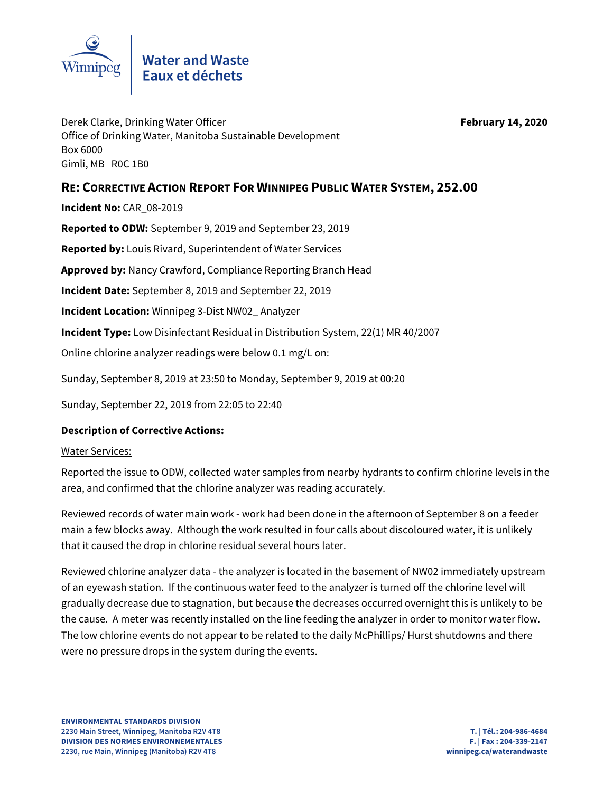

# Water and Waste<br>Eaux et déchets

Derek Clarke, Drinking Water Officer **February 14, 2020** Office of Drinking Water, Manitoba Sustainable Development Box 6000 Gimli, MB R0C 1B0

# **RE: CORRECTIVE ACTION REPORT FOR WINNIPEG PUBLIC WATER SYSTEM, 252.00**

**Incident No:** CAR\_08-2019

**Reported to ODW:** September 9, 2019 and September 23, 2019

**Reported by:** Louis Rivard, Superintendent of Water Services

**Approved by:** Nancy Crawford, Compliance Reporting Branch Head

**Incident Date:** September 8, 2019 and September 22, 2019

**Incident Location:** Winnipeg 3-Dist NW02\_ Analyzer

**Incident Type:** Low Disinfectant Residual in Distribution System, 22(1) MR 40/2007

Online chlorine analyzer readings were below 0.1 mg/L on:

Sunday, September 8, 2019 at 23:50 to Monday, September 9, 2019 at 00:20

Sunday, September 22, 2019 from 22:05 to 22:40

### **Description of Corrective Actions:**

#### Water Services:

Reported the issue to ODW, collected water samples from nearby hydrants to confirm chlorine levels in the area, and confirmed that the chlorine analyzer was reading accurately.

Reviewed records of water main work - work had been done in the afternoon of September 8 on a feeder main a few blocks away. Although the work resulted in four calls about discoloured water, it is unlikely that it caused the drop in chlorine residual several hours later.

Reviewed chlorine analyzer data - the analyzer is located in the basement of NW02 immediately upstream of an eyewash station. If the continuous water feed to the analyzer is turned off the chlorine level will gradually decrease due to stagnation, but because the decreases occurred overnight this is unlikely to be the cause. A meter was recently installed on the line feeding the analyzer in order to monitor water flow. The low chlorine events do not appear to be related to the daily McPhillips/ Hurst shutdowns and there were no pressure drops in the system during the events.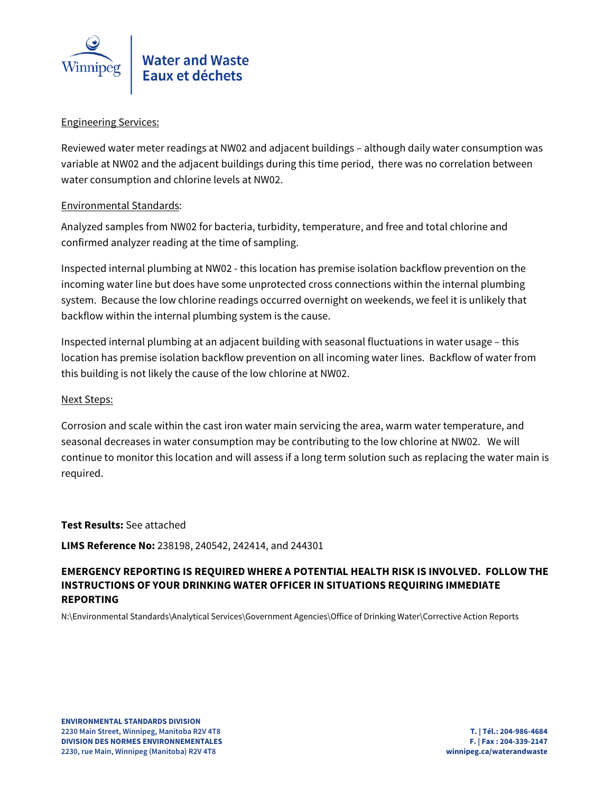

#### Engineering Services:

Reviewed water meter readings at NW02 and adjacent buildings – although daily water consumption was variable at NW02 and the adjacent buildings during this time period, there was no correlation between water consumption and chlorine levels at NW02.

#### Environmental Standards:

Analyzed samples from NW02 for bacteria, turbidity, temperature, and free and total chlorine and confirmed analyzer reading at the time of sampling.

Inspected internal plumbing at NW02 - this location has premise isolation backflow prevention on the incoming water line but does have some unprotected cross connections within the internal plumbing system. Because the low chlorine readings occurred overnight on weekends, we feel it is unlikely that backflow within the internal plumbing system is the cause.

Inspected internal plumbing at an adjacent building with seasonal fluctuations in water usage – this location has premise isolation backflow prevention on all incoming water lines. Backflow of water from this building is not likely the cause of the low chlorine at NW02.

#### Next Steps:

Corrosion and scale within the cast iron water main servicing the area, warm water temperature, and seasonal decreases in water consumption may be contributing to the low chlorine at NW02. We will continue to monitor this location and will assess if a long term solution such as replacing the water main is required.

#### **Test Results:** See attached

**LIMS Reference No:** 238198, 240542, 242414, and 244301

# **EMERGENCY REPORTING IS REQUIRED WHERE A POTENTIAL HEALTH RISK IS INVOLVED. FOLLOW THE INSTRUCTIONS OF YOUR DRINKING WATER OFFICER IN SITUATIONS REQUIRING IMMEDIATE REPORTING**

N:\Environmental Standards\Analytical Services\Government Agencies\Office of Drinking Water\Corrective Action Reports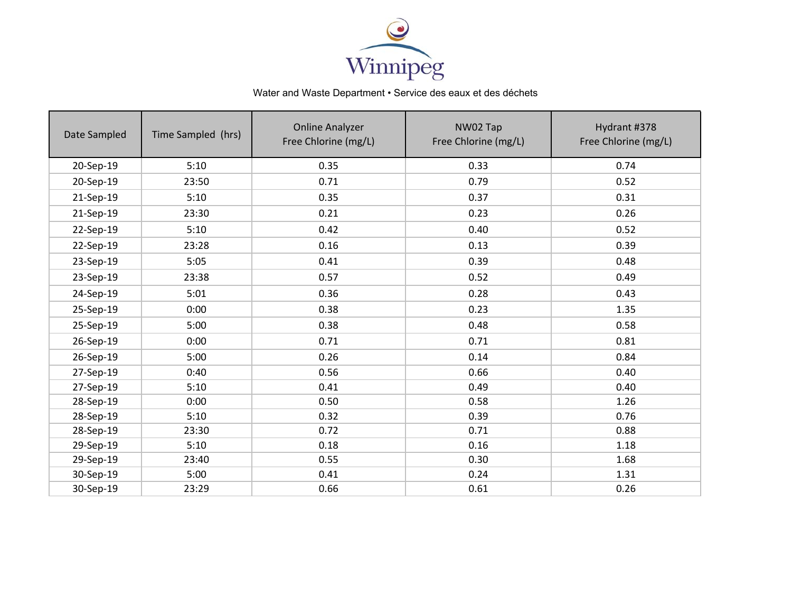

# Water and Waste Department • Service des eaux et des déchets

| Date Sampled | Time Sampled (hrs) | <b>Online Analyzer</b><br>Free Chlorine (mg/L) | NW02 Tap<br>Free Chlorine (mg/L) | Hydrant #378<br>Free Chlorine (mg/L) |  |
|--------------|--------------------|------------------------------------------------|----------------------------------|--------------------------------------|--|
| 20-Sep-19    | 5:10               | 0.35                                           | 0.33                             | 0.74                                 |  |
| 20-Sep-19    | 23:50              | 0.71                                           | 0.79                             | 0.52                                 |  |
| 21-Sep-19    | 5:10               | 0.35                                           | 0.37                             | 0.31                                 |  |
| 21-Sep-19    | 23:30              | 0.21                                           | 0.23                             | 0.26                                 |  |
| 22-Sep-19    | 5:10               | 0.42                                           | 0.40                             | 0.52                                 |  |
| 22-Sep-19    | 23:28              | 0.16                                           | 0.13                             | 0.39                                 |  |
| 23-Sep-19    | 5:05               | 0.41                                           | 0.39                             | 0.48                                 |  |
| 23-Sep-19    | 23:38              | 0.57                                           | 0.52                             | 0.49                                 |  |
| 24-Sep-19    | 5:01               | 0.36                                           | 0.28                             | 0.43                                 |  |
| 25-Sep-19    | 0:00               | 0.38                                           | 0.23                             | 1.35                                 |  |
| 25-Sep-19    | 5:00               | 0.38                                           | 0.48                             | 0.58                                 |  |
| 26-Sep-19    | 0:00               | 0.71                                           | 0.71                             | 0.81                                 |  |
| 26-Sep-19    | 5:00               | 0.26                                           | 0.14                             | 0.84                                 |  |
| 27-Sep-19    | 0:40               | 0.56                                           | 0.66                             | 0.40                                 |  |
| 27-Sep-19    | 5:10               | 0.41                                           | 0.49                             | 0.40                                 |  |
| 28-Sep-19    | 0:00               | 0.50                                           | 0.58                             | 1.26                                 |  |
| 28-Sep-19    | 5:10               | 0.32                                           | 0.39                             | 0.76                                 |  |
| 28-Sep-19    | 23:30              | 0.72                                           | 0.71                             | 0.88                                 |  |
| 29-Sep-19    | 5:10               | 0.18                                           | 0.16                             | 1.18                                 |  |
| 29-Sep-19    | 23:40              | 0.55                                           | 0.30                             | 1.68                                 |  |
| 30-Sep-19    | 5:00               | 0.41                                           | 0.24                             | 1.31                                 |  |
| 30-Sep-19    | 23:29              | 0.66                                           | 0.61                             | 0.26                                 |  |